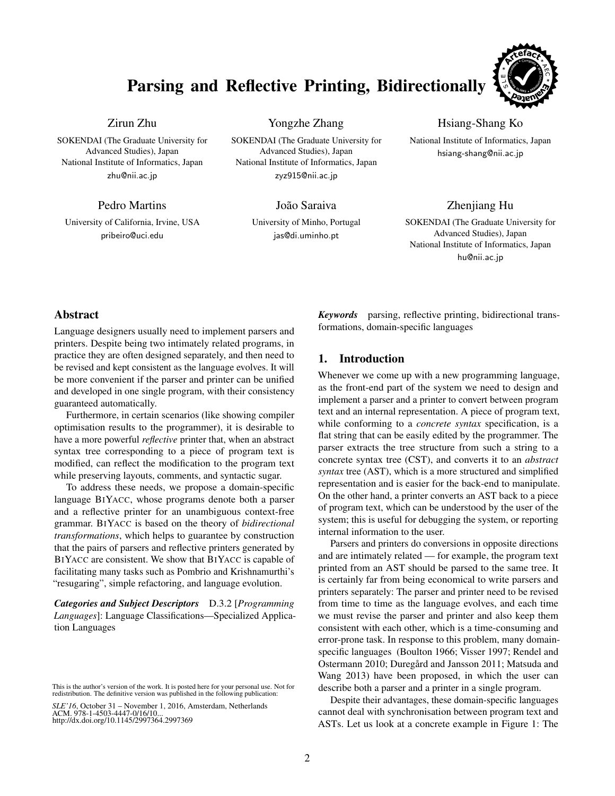# Parsing and Reflective Printing, Bidirectionally



# Zirun Zhu

SOKENDAI (The Graduate University for Advanced Studies), Japan National Institute of Informatics, Japan zhu@nii.ac.jp

## Pedro Martins

University of California, Irvine, USA pribeiro@uci.edu

## Yongzhe Zhang

SOKENDAI (The Graduate University for Advanced Studies), Japan National Institute of Informatics, Japan zyz915@nii.ac.jp

João Saraiva

University of Minho, Portugal jas@di.uminho.pt

# Hsiang-Shang Ko National Institute of Informatics, Japan hsiang-shang@nii.ac.jp

# Zhenjiang Hu

SOKENDAI (The Graduate University for Advanced Studies), Japan National Institute of Informatics, Japan hu@nii.ac.jp

## Abstract

Language designers usually need to implement parsers and printers. Despite being two intimately related programs, in practice they are often designed separately, and then need to be revised and kept consistent as the language evolves. It will be more convenient if the parser and printer can be unified and developed in one single program, with their consistency guaranteed automatically.

Furthermore, in certain scenarios (like showing compiler optimisation results to the programmer), it is desirable to have a more powerful *reflective* printer that, when an abstract syntax tree corresponding to a piece of program text is modified, can reflect the modification to the program text while preserving layouts, comments, and syntactic sugar.

To address these needs, we propose a domain-specific language BIYACC, whose programs denote both a parser and a reflective printer for an unambiguous context-free grammar. BIYACC is based on the theory of *bidirectional transformations*, which helps to guarantee by construction that the pairs of parsers and reflective printers generated by BIYACC are consistent. We show that BIYACC is capable of facilitating many tasks such as Pombrio and Krishnamurthi's "resugaring", simple refactoring, and language evolution.

*Categories and Subject Descriptors* D.3.2 [*Programming Languages*]: Language Classifications—Specialized Application Languages

*SLE'16*, October 31 – November 1, 2016, Amsterdam, Netherlands ACM. 978-1-4503-4447-0/16/10... http://dx.doi.org/10.1145/2997364.2997369

*Keywords* parsing, reflective printing, bidirectional transformations, domain-specific languages

## <span id="page-0-0"></span>1. Introduction

Whenever we come up with a new programming language, as the front-end part of the system we need to design and implement a parser and a printer to convert between program text and an internal representation. A piece of program text, while conforming to a *concrete syntax* specification, is a flat string that can be easily edited by the programmer. The parser extracts the tree structure from such a string to a concrete syntax tree (CST), and converts it to an *abstract syntax* tree (AST), which is a more structured and simplified representation and is easier for the back-end to manipulate. On the other hand, a printer converts an AST back to a piece of program text, which can be understood by the user of the system; this is useful for debugging the system, or reporting internal information to the user.

Parsers and printers do conversions in opposite directions and are intimately related — for example, the program text printed from an AST should be parsed to the same tree. It is certainly far from being economical to write parsers and printers separately: The parser and printer need to be revised from time to time as the language evolves, and each time we must revise the parser and printer and also keep them consistent with each other, which is a time-consuming and error-prone task. In response to this problem, many domainspecific languages [\(Boulton 1966;](#page-12-0) [Visser 1997;](#page-12-1) [Rendel and](#page-12-2) [Ostermann 2010;](#page-12-2) Duregård and Jansson 2011; [Matsuda and](#page-12-4) [Wang 2013\)](#page-12-4) have been proposed, in which the user can describe both a parser and a printer in a single program.

Despite their advantages, these domain-specific languages cannot deal with synchronisation between program text and ASTs. Let us look at a concrete example in [Figure 1:](#page-1-0) The

This is the author's version of the work. It is posted here for your personal use. Not for redistribution. The definitive version was published in the following publication: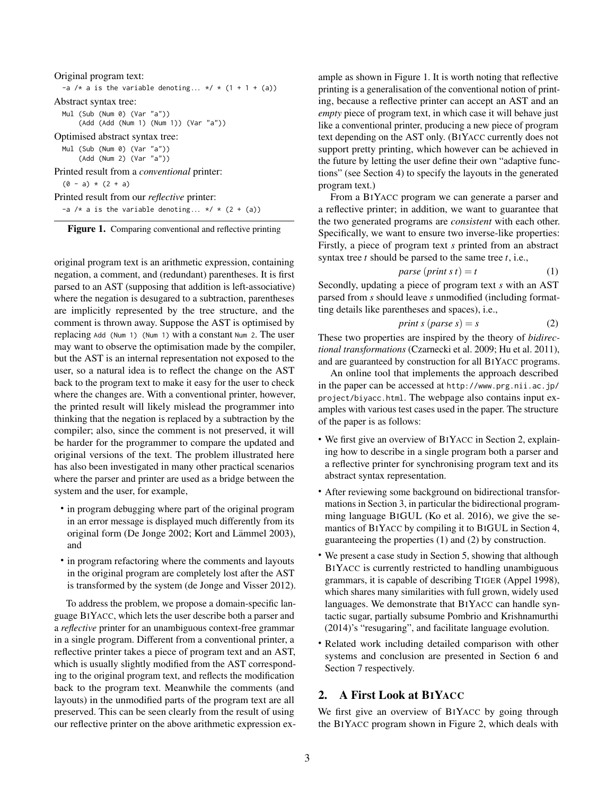Original program text: -a /\* a is the variable denoting...  $\star$ /  $\star$  (1 + 1 + (a)) Abstract syntax tree: Mul (Sub (Num 0) (Var "a")) (Add (Add (Num 1) (Num 1)) (Var "a")) Optimised abstract syntax tree: Mul (Sub (Num 0) (Var "a")) (Add (Num 2) (Var "a")) Printed result from a *conventional* printer:  $(0 - a) * (2 + a)$ Printed result from our *reflective* printer: -a /\* a is the variable denoting...  $*/*(2 + (a))$ 

<span id="page-1-0"></span>Figure 1. Comparing conventional and reflective printing

original program text is an arithmetic expression, containing negation, a comment, and (redundant) parentheses. It is first parsed to an AST (supposing that addition is left-associative) where the negation is desugared to a subtraction, parentheses are implicitly represented by the tree structure, and the comment is thrown away. Suppose the AST is optimised by replacing Add (Num 1) (Num 1) with a constant Num 2. The user may want to observe the optimisation made by the compiler, but the AST is an internal representation not exposed to the user, so a natural idea is to reflect the change on the AST back to the program text to make it easy for the user to check where the changes are. With a conventional printer, however, the printed result will likely mislead the programmer into thinking that the negation is replaced by a subtraction by the compiler; also, since the comment is not preserved, it will be harder for the programmer to compare the updated and original versions of the text. The problem illustrated here has also been investigated in many other practical scenarios where the parser and printer are used as a bridge between the system and the user, for example,

- in program debugging where part of the original program in an error message is displayed much differently from its original form [\(De Jonge 2002;](#page-12-5) Kort and Lämmel 2003), and
- in program refactoring where the comments and layouts in the original program are completely lost after the AST is transformed by the system [\(de Jonge and Visser 2012\)](#page-12-7).

To address the problem, we propose a domain-specific language BIYACC, which lets the user describe both a parser and a *reflective* printer for an unambiguous context-free grammar in a single program. Different from a conventional printer, a reflective printer takes a piece of program text and an AST, which is usually slightly modified from the AST corresponding to the original program text, and reflects the modification back to the program text. Meanwhile the comments (and layouts) in the unmodified parts of the program text are all preserved. This can be seen clearly from the result of using our reflective printer on the above arithmetic expression ex-

ample as shown in [Figure 1.](#page-1-0) It is worth noting that reflective printing is a generalisation of the conventional notion of printing, because a reflective printer can accept an AST and an *empty* piece of program text, in which case it will behave just like a conventional printer, producing a new piece of program text depending on the AST only. (BIYACC currently does not support pretty printing, which however can be achieved in the future by letting the user define their own "adaptive functions" (see [Section 4\)](#page-5-0) to specify the layouts in the generated program text.)

From a BIYACC program we can generate a parser and a reflective printer; in addition, we want to guarantee that the two generated programs are *consistent* with each other. Specifically, we want to ensure two inverse-like properties: Firstly, a piece of program text *s* printed from an abstract syntax tree *t* should be parsed to the same tree *t*, i.e.,

<span id="page-1-2"></span>
$$
parse (print s t) = t \tag{1}
$$

Secondly, updating a piece of program text *s* with an AST parsed from *s* should leave *s* unmodified (including formatting details like parentheses and spaces), i.e.,

<span id="page-1-3"></span>
$$
print\ s\ (parse\ s) = s \tag{2}
$$

These two properties are inspired by the theory of *bidirectional transformations* [\(Czarnecki et al. 2009;](#page-12-8) [Hu et al. 2011\)](#page-12-9), and are guaranteed by construction for all BIYACC programs.

An online tool that implements the approach described in the paper can be accessed at [http://www.prg.nii.ac.jp/](http://www.prg.nii.ac.jp/project/biyacc.html) [project/biyacc.html](http://www.prg.nii.ac.jp/project/biyacc.html). The webpage also contains input examples with various test cases used in the paper. The structure of the paper is as follows:

- We first give an overview of BIYACC in [Section 2,](#page-1-1) explaining how to describe in a single program both a parser and a reflective printer for synchronising program text and its abstract syntax representation.
- After reviewing some background on bidirectional transformations in [Section 3,](#page-3-0) in particular the bidirectional programming language BIGUL [\(Ko et al. 2016\)](#page-12-10), we give the semantics of BIYACC by compiling it to BIGUL in [Section 4,](#page-5-0) guaranteeing the properties [\(1\)](#page-1-2) and [\(2\)](#page-1-3) by construction.
- We present a case study in [Section 5,](#page-8-0) showing that although BIYACC is currently restricted to handling unambiguous grammars, it is capable of describing TIGER [\(Appel 1998\)](#page-12-11), which shares many similarities with full grown, widely used languages. We demonstrate that BIYACC can handle syntactic sugar, partially subsume [Pombrio and Krishnamurthi](#page-12-12) [\(2014\)](#page-12-12)'s "resugaring", and facilitate language evolution.
- Related work including detailed comparison with other systems and conclusion are presented in [Section 6](#page-10-0) and [Section 7](#page-11-0) respectively.

# <span id="page-1-1"></span>2. A First Look at BIYACC

We first give an overview of BIYACC by going through the BIYACC program shown in [Figure 2,](#page-2-0) which deals with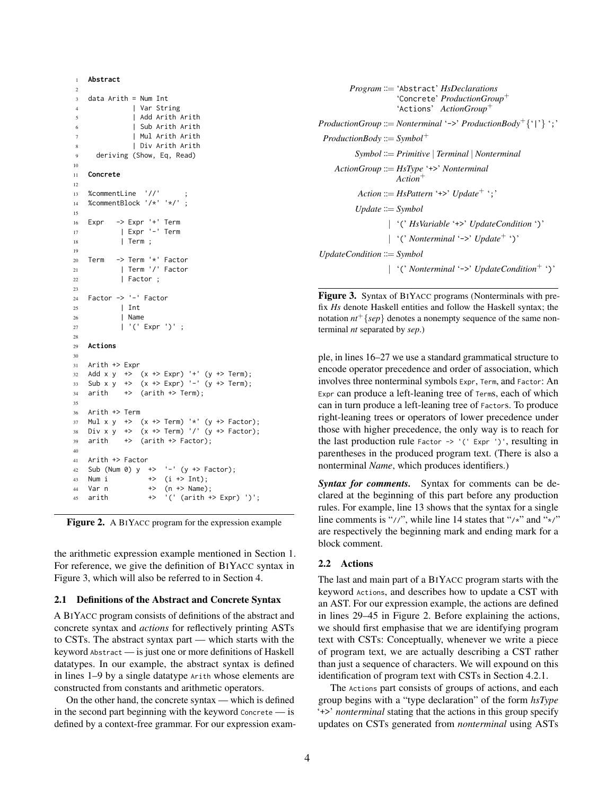```
1 Abstract
\overline{2}3 data Arith = Num Int
4 | Var String
5 | Add Arith Arith
6 | Sub Arith Arith
7 | Mul Arith Arith
8 | Div Arith Arith
9 deriving (Show, Eq, Read)
10
11 Concrete
12
13 %commentLine '//' ;
14 %commentBlock '/*' '*/' ;
15
16 Expr -> Expr '+' Term
17 | Expr '-' Term
18 | Term :
19
20 Term -> Term '*' Factor
21 | Term '/' Factor
22 | Factor ;
23
24 Factor -> '-' Factor
25 | Int
26 | Name
27 | '(' Expr ')' ;
28
29 Actions
30
31 Arith +> Expr
32 Add x y \rightarrow (x \rightarrow Expr) '+' (y \rightarrow Term);
33 Sub x y +> (x +> Expr) '-' (y +> Term);
34 arith \rightarrow (arith \rightarrow Term);
35
36 Arith +> Term
37 Mul x y \rightarrow (x \rightarrow Term) '*' (y \rightarrow Factor);
38 Div x y \rightarrow (x \rightarrow Term) '/' (y \rightarrow Factor);
39 arith +> (arith +> Factor);
40
41 Arith +> Factor
42 Sub (Num 0) y +> '-' (y +> Factor);
43 Num i +> (i +> Int);
44 Var n \Rightarrow (n \Rightarrow Name);
45 arith +> '(' (arith +> Expr) ')';
```
<span id="page-2-0"></span>Figure 2. A BIYACC program for the expression example

the arithmetic expression example mentioned in [Section 1.](#page-0-0) For reference, we give the definition of BIYACC syntax in [Figure 3,](#page-2-1) which will also be referred to in [Section 4.](#page-5-0)

#### 2.1 Definitions of the Abstract and Concrete Syntax

A BIYACC program consists of definitions of the abstract and concrete syntax and *actions* for reflectively printing ASTs to CSTs. The abstract syntax part — which starts with the keyword Abstract — is just one or more definitions of Haskell datatypes. In our example, the abstract syntax is defined in lines 1–9 by a single datatype Arith whose elements are constructed from constants and arithmetic operators.

On the other hand, the concrete syntax — which is defined in the second part beginning with the keyword Concrete — is defined by a context-free grammar. For our expression exam-

*Program* ::= 'Abstract' *HsDeclarations* 'Concrete' *ProductionGroup*<sup>+</sup> 'Actions' *ActionGroup*<sup>+</sup> *ProductionGroup* ::= *Nonterminal* '->' *ProductionBody*+{'|'} ';' *ProductionBody* ::= *Symbol*<sup>+</sup> *Symbol* ::= *Primitive* | *Terminal* | *Nonterminal ActionGroup* ::= *HsType* '+>' *Nonterminal Action*<sup>+</sup> *Action* ::= *HsPattern* '+>' *Update*<sup>+</sup> ';' *Update* ::= *Symbol* | '(' *HsVariable* '+>' *UpdateCondition* ')' | '(' *Nonterminal* '->' *Update*<sup>+</sup> ')' *UpdateCondition* ::= *Symbol* | '(' *Nonterminal* '->' *UpdateCondition*<sup>+</sup> ')'

<span id="page-2-1"></span>Figure 3. Syntax of BIYACC programs (Nonterminals with prefix *Hs* denote Haskell entities and follow the Haskell syntax; the notation  $nt^{+}$ {*sep*} denotes a nonempty sequence of the same nonterminal *nt* separated by *sep*.)

ple, in lines 16–27 we use a standard grammatical structure to encode operator precedence and order of association, which involves three nonterminal symbols Expr, Term, and Factor: An Expr can produce a left-leaning tree of Terms, each of which can in turn produce a left-leaning tree of Factors. To produce right-leaning trees or operators of lower precedence under those with higher precedence, the only way is to reach for the last production rule Factor -> '(' Expr ')', resulting in parentheses in the produced program text. (There is also a nonterminal *Name*, which produces identifiers.)

*Syntax for comments.* Syntax for comments can be declared at the beginning of this part before any production rules. For example, line 13 shows that the syntax for a single line comments is "//", while line 14 states that "/\*" and "\*/" are respectively the beginning mark and ending mark for a block comment.

## 2.2 Actions

The last and main part of a BIYACC program starts with the keyword Actions, and describes how to update a CST with an AST. For our expression example, the actions are defined in lines 29–45 in [Figure 2.](#page-2-0) Before explaining the actions, we should first emphasise that we are identifying program text with CSTs: Conceptually, whenever we write a piece of program text, we are actually describing a CST rather than just a sequence of characters. We will expound on this identification of program text with CSTs in [Section 4.2.1.](#page-7-0)

The Actions part consists of groups of actions, and each group begins with a "type declaration" of the form *hsType* '+>' *nonterminal* stating that the actions in this group specify updates on CSTs generated from *nonterminal* using ASTs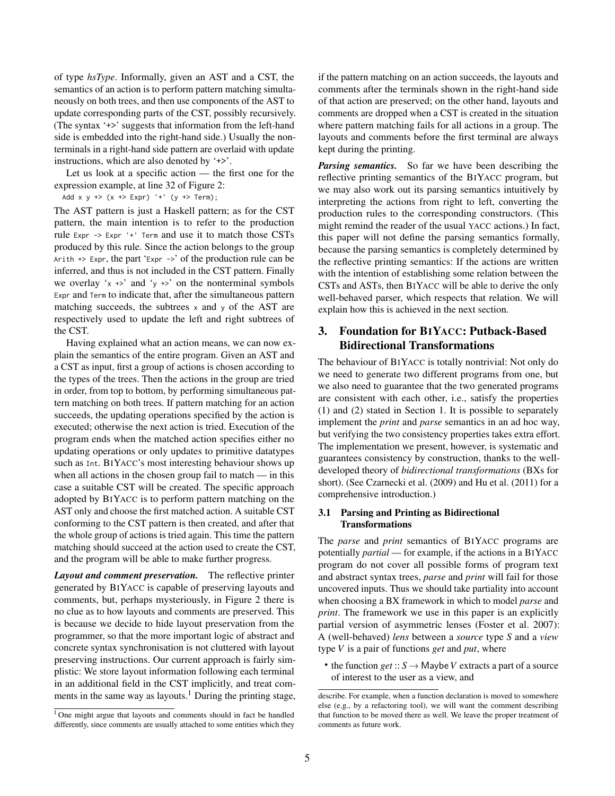of type *hsType*. Informally, given an AST and a CST, the semantics of an action is to perform pattern matching simultaneously on both trees, and then use components of the AST to update corresponding parts of the CST, possibly recursively. (The syntax '+>' suggests that information from the left-hand side is embedded into the right-hand side.) Usually the nonterminals in a right-hand side pattern are overlaid with update instructions, which are also denoted by '+>'.

Let us look at a specific action — the first one for the expression example, at line 32 of [Figure 2:](#page-2-0)

Add x y +> (x +> Expr) '+' (y +> Term);

The AST pattern is just a Haskell pattern; as for the CST pattern, the main intention is to refer to the production rule Expr -> Expr '+' Term and use it to match those CSTs produced by this rule. Since the action belongs to the group Arith  $\rightarrow$  Expr, the part 'Expr  $\rightarrow$ ' of the production rule can be inferred, and thus is not included in the CST pattern. Finally we overlay ' $x \leftrightarrow$ ' and ' $y \leftrightarrow$ ' on the nonterminal symbols Expr and Term to indicate that, after the simultaneous pattern matching succeeds, the subtrees  $x$  and  $y$  of the AST are respectively used to update the left and right subtrees of the CST.

Having explained what an action means, we can now explain the semantics of the entire program. Given an AST and a CST as input, first a group of actions is chosen according to the types of the trees. Then the actions in the group are tried in order, from top to bottom, by performing simultaneous pattern matching on both trees. If pattern matching for an action succeeds, the updating operations specified by the action is executed; otherwise the next action is tried. Execution of the program ends when the matched action specifies either no updating operations or only updates to primitive datatypes such as Int. BIYACC's most interesting behaviour shows up when all actions in the chosen group fail to match — in this case a suitable CST will be created. The specific approach adopted by BIYACC is to perform pattern matching on the AST only and choose the first matched action. A suitable CST conforming to the CST pattern is then created, and after that the whole group of actions is tried again. This time the pattern matching should succeed at the action used to create the CST, and the program will be able to make further progress.

*Layout and comment preservation.* The reflective printer generated by BIYACC is capable of preserving layouts and comments, but, perhaps mysteriously, in [Figure 2](#page-2-0) there is no clue as to how layouts and comments are preserved. This is because we decide to hide layout preservation from the programmer, so that the more important logic of abstract and concrete syntax synchronisation is not cluttered with layout preserving instructions. Our current approach is fairly simplistic: We store layout information following each terminal in an additional field in the CST implicitly, and treat com-ments in the same way as layouts.<sup>[1](#page-3-1)</sup> During the printing stage,

<span id="page-3-1"></span><sup>1</sup> One might argue that layouts and comments should in fact be handled differently, since comments are usually attached to some entities which they if the pattern matching on an action succeeds, the layouts and comments after the terminals shown in the right-hand side of that action are preserved; on the other hand, layouts and comments are dropped when a CST is created in the situation where pattern matching fails for all actions in a group. The layouts and comments before the first terminal are always kept during the printing.

*Parsing semantics.* So far we have been describing the reflective printing semantics of the BIYACC program, but we may also work out its parsing semantics intuitively by interpreting the actions from right to left, converting the production rules to the corresponding constructors. (This might remind the reader of the usual YACC actions.) In fact, this paper will not define the parsing semantics formally, because the parsing semantics is completely determined by the reflective printing semantics: If the actions are written with the intention of establishing some relation between the CSTs and ASTs, then BIYACC will be able to derive the only well-behaved parser, which respects that relation. We will explain how this is achieved in the next section.

# <span id="page-3-0"></span>3. Foundation for BIYACC: Putback-Based Bidirectional Transformations

The behaviour of BIYACC is totally nontrivial: Not only do we need to generate two different programs from one, but we also need to guarantee that the two generated programs are consistent with each other, i.e., satisfy the properties [\(1\)](#page-1-2) and [\(2\)](#page-1-3) stated in [Section 1.](#page-0-0) It is possible to separately implement the *print* and *parse* semantics in an ad hoc way, but verifying the two consistency properties takes extra effort. The implementation we present, however, is systematic and guarantees consistency by construction, thanks to the welldeveloped theory of *bidirectional transformations* (BXs for short). (See [Czarnecki et al.](#page-12-8) [\(2009\)](#page-12-8) and [Hu et al.](#page-12-9) [\(2011\)](#page-12-9) for a comprehensive introduction.)

## 3.1 Parsing and Printing as Bidirectional Transformations

The *parse* and *print* semantics of BIYACC programs are potentially *partial* — for example, if the actions in a BIYACC program do not cover all possible forms of program text and abstract syntax trees, *parse* and *print* will fail for those uncovered inputs. Thus we should take partiality into account when choosing a BX framework in which to model *parse* and *print*. The framework we use in this paper is an explicitly partial version of asymmetric lenses [\(Foster et al. 2007\)](#page-12-13): A (well-behaved) *lens* between a *source* type *S* and a *view* type *V* is a pair of functions *get* and *put*, where

• the function *get* ::  $S \rightarrow$  Maybe *V* extracts a part of a source of interest to the user as a view, and

describe. For example, when a function declaration is moved to somewhere else (e.g., by a refactoring tool), we will want the comment describing that function to be moved there as well. We leave the proper treatment of comments as future work.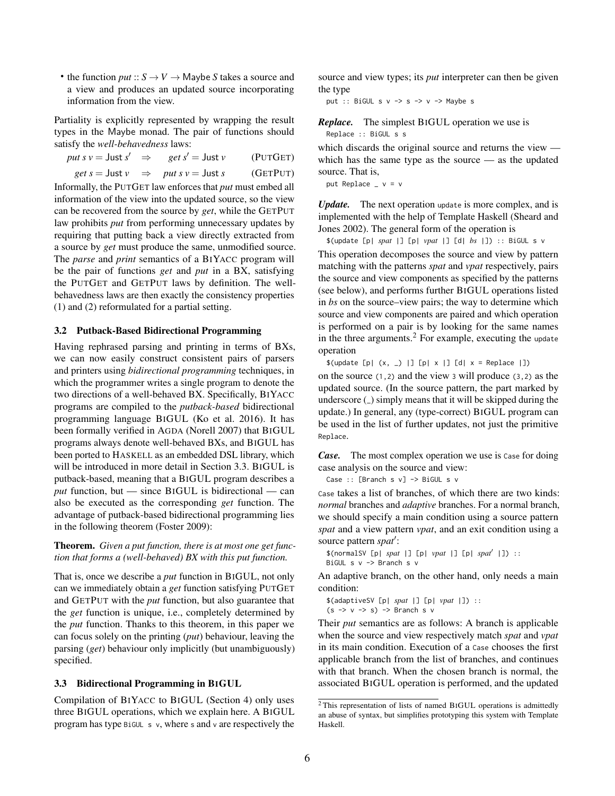• the function  $put :: S \rightarrow V \rightarrow$  Maybe *S* takes a source and a view and produces an updated source incorporating information from the view.

Partiality is explicitly represented by wrapping the result types in the Maybe monad. The pair of functions should satisfy the *well-behavedness* laws:

*put s v* = Just  $s' \Rightarrow$  $get s' = Just v$  (PUTGET)  $get s = Just v \Rightarrow put s v = Just s$  (GETPUT)

Informally, the P[UT](#page-4-0)GET law enforces that *put* must embed all information of the view into the updated source, so the view can be recovered from the source by *get*, while the GETP[UT](#page-4-1) law prohibits *put* from performing unnecessary updates by requiring that putting back a view directly extracted from a source by *get* must produce the same, unmodified source. The *parse* and *print* semantics of a BIYACC program will be the pair of functions *get* and *put* in a BX, satisfying the P[UT](#page-4-0)GET and GETP[UT](#page-4-1) laws by definition. The wellbehavedness laws are then exactly the consistency properties [\(1\)](#page-1-2) and [\(2\)](#page-1-3) reformulated for a partial setting.

## 3.2 Putback-Based Bidirectional Programming

Having rephrased parsing and printing in terms of BXs, we can now easily construct consistent pairs of parsers and printers using *bidirectional programming* techniques, in which the programmer writes a single program to denote the two directions of a well-behaved BX. Specifically, BIYACC programs are compiled to the *putback-based* bidirectional programming language BIGUL [\(Ko et al. 2016\)](#page-12-10). It has been formally verified in AGDA [\(Norell 2007\)](#page-12-14) that BIGUL programs always denote well-behaved BXs, and BIGUL has been ported to HASKELL as an embedded DSL library, which will be introduced in more detail in [Section 3.3.](#page-4-2) BIGUL is putback-based, meaning that a BIGUL program describes a *put* function, but — since BIGUL is bidirectional — can also be executed as the corresponding *get* function. The advantage of putback-based bidirectional programming lies in the following theorem [\(Foster 2009\)](#page-12-15):

Theorem. *Given a put function, there is at most one get function that forms a (well-behaved) BX with this put function.*

That is, once we describe a *put* function in BIGUL, not only can we immediately obtain a *get* function satisfying P[UT](#page-4-0)GET and GETP[UT](#page-4-1) with the *put* function, but also guarantee that the *get* function is unique, i.e., completely determined by the *put* function. Thanks to this theorem, in this paper we can focus solely on the printing (*put*) behaviour, leaving the parsing (*get*) behaviour only implicitly (but unambiguously) specified.

#### <span id="page-4-2"></span>3.3 Bidirectional Programming in BIGUL

Compilation of BIYACC to BIGUL [\(Section 4\)](#page-5-0) only uses three BIGUL operations, which we explain here. A BIGUL program has type  $B_i$  GUL s v, where s and v are respectively the source and view types; its *put* interpreter can then be given the type

put :: BiGUL s  $v \rightarrow s \rightarrow v \rightarrow$  Maybe s

*Replace.* The simplest BIGUL operation we use is Replace :: BiGUL s s

<span id="page-4-1"></span><span id="page-4-0"></span>which discards the original source and returns the view which has the same type as the source — as the updated source. That is,

put Replace \_ v = v

*Update.* The next operation update is more complex, and is implemented with the help of Template Haskell [\(Sheard and](#page-12-16) [Jones 2002\)](#page-12-16). The general form of the operation is

\$(update [p| *spat* |] [p| *vpat* |] [d| *bs* |]) :: BiGUL s v

This operation decomposes the source and view by pattern matching with the patterns *spat* and *vpat* respectively, pairs the source and view components as specified by the patterns (see below), and performs further BIGUL operations listed in *bs* on the source–view pairs; the way to determine which source and view components are paired and which operation is performed on a pair is by looking for the same names in the three arguments.[2](#page-4-3) For example, executing the update operation

 $\{(update [p] (x, _]) | ] [p] x | ] [d] x = Replace | ]$ 

on the source (1,2) and the view 3 will produce (3,2) as the updated source. (In the source pattern, the part marked by underscore (\_) simply means that it will be skipped during the update.) In general, any (type-correct) BIGUL program can be used in the list of further updates, not just the primitive Replace.

*Case.* The most complex operation we use is case for doing case analysis on the source and view:

Case :: [Branch s v] -> BiGUL s v

Case takes a list of branches, of which there are two kinds: *normal* branches and *adaptive* branches. For a normal branch, we should specify a main condition using a source pattern *spat* and a view pattern *vpat*, and an exit condition using a source pattern spat':

```
$(normalSV [p] <i>spat</i> | ] [p] <i>vpat</i> | ] [p] <i>spat'</i> | ]):BiGUL s v -> Branch s v
```
An adaptive branch, on the other hand, only needs a main condition:

\$(adaptiveSV [p| *spat* |] [p| *vpat* |]) ::  $(s \rightarrow v \rightarrow s) \rightarrow$  Branch s v

Their *put* semantics are as follows: A branch is applicable when the source and view respectively match *spat* and *vpat* in its main condition. Execution of a Case chooses the first applicable branch from the list of branches, and continues with that branch. When the chosen branch is normal, the associated BIGUL operation is performed, and the updated

<span id="page-4-3"></span><sup>&</sup>lt;sup>2</sup> This representation of lists of named BIGUL operations is admittedly an abuse of syntax, but simplifies prototyping this system with Template Haskell.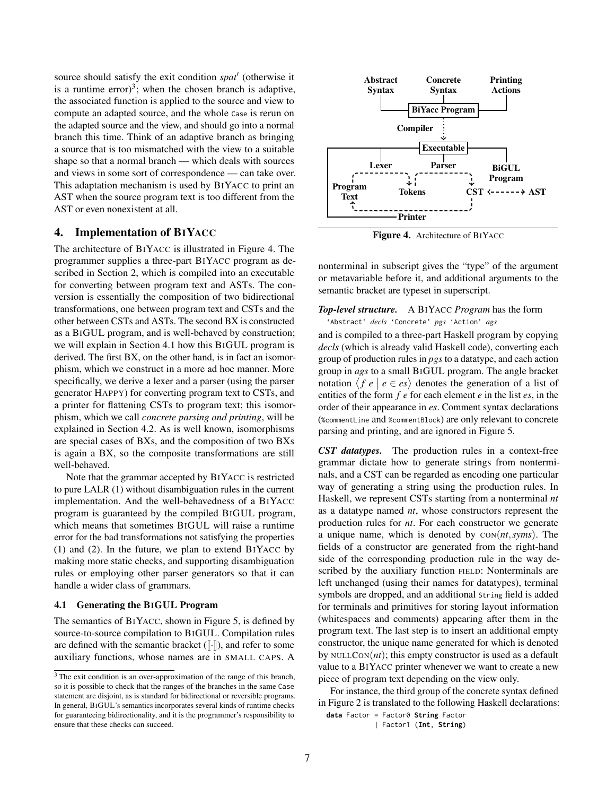source should satisfy the exit condition *spat'* (otherwise it is a runtime error)<sup>[3](#page-5-1)</sup>; when the chosen branch is adaptive, the associated function is applied to the source and view to compute an adapted source, and the whole Case is rerun on the adapted source and the view, and should go into a normal branch this time. Think of an adaptive branch as bringing a source that is too mismatched with the view to a suitable shape so that a normal branch — which deals with sources and views in some sort of correspondence — can take over. This adaptation mechanism is used by BIYACC to print an AST when the source program text is too different from the AST or even nonexistent at all.

## <span id="page-5-0"></span>4. Implementation of BIYACC

The architecture of BIYACC is illustrated in [Figure 4.](#page-5-2) The programmer supplies a three-part BIYACC program as described in [Section 2,](#page-1-1) which is compiled into an executable for converting between program text and ASTs. The conversion is essentially the composition of two bidirectional transformations, one between program text and CSTs and the other between CSTs and ASTs. The second BX is constructed as a BIGUL program, and is well-behaved by construction; we will explain in [Section 4.1](#page-5-3) how this BIGUL program is derived. The first BX, on the other hand, is in fact an isomorphism, which we construct in a more ad hoc manner. More specifically, we derive a lexer and a parser (using the parser generator HAPPY) for converting program text to CSTs, and a printer for flattening CSTs to program text; this isomorphism, which we call *concrete parsing and printing*, will be explained in [Section 4.2.](#page-7-1) As is well known, isomorphisms are special cases of BXs, and the composition of two BXs is again a BX, so the composite transformations are still well-behaved.

Note that the grammar accepted by BIYACC is restricted to pure LALR (1) without disambiguation rules in the current implementation. And the well-behavedness of a BIYACC program is guaranteed by the compiled BIGUL program, which means that sometimes BIGUL will raise a runtime error for the bad transformations not satisfying the properties [\(1\)](#page-1-2) and [\(2\).](#page-1-3) In the future, we plan to extend BIYACC by making more static checks, and supporting disambiguation rules or employing other parser generators so that it can handle a wider class of grammars.

## <span id="page-5-3"></span>4.1 Generating the BIGUL Program

The semantics of BIYACC, shown in [Figure 5,](#page-6-0) is defined by source-to-source compilation to BIGUL. Compilation rules are defined with the semantic bracket  $(\lceil \cdot \rceil)$ , and refer to some auxiliary functions, whose names are in SMALL CAPS. A



<span id="page-5-2"></span>Figure 4. Architecture of BIYACC

nonterminal in subscript gives the "type" of the argument or metavariable before it, and additional arguments to the semantic bracket are typeset in superscript.

#### *Top-level structure.* A BIYACC *Program* has the form 'Abstract' *decls* 'Concrete' *pgs* 'Action' *ags*

and is compiled to a three-part Haskell program by copying *decls* (which is already valid Haskell code), converting each group of production rules in *pgs* to a datatype, and each action group in *ags* to a small BIGUL program. The angle bracket notation  $\langle f e | e \in e s \rangle$  denotes the generation of a list of entities of the form *f e* for each element *e* in the list *es*, in the order of their appearance in *es*. Comment syntax declarations (%commentLine and %commentBlock) are only relevant to concrete parsing and printing, and are ignored in [Figure 5.](#page-6-0)

*CST datatypes.* The production rules in a context-free grammar dictate how to generate strings from nonterminals, and a CST can be regarded as encoding one particular way of generating a string using the production rules. In Haskell, we represent CSTs starting from a nonterminal *nt* as a datatype named *nt*, whose constructors represent the production rules for *nt*. For each constructor we generate a unique name, which is denoted by CON(*nt*,*syms*). The fields of a constructor are generated from the right-hand side of the corresponding production rule in the way described by the auxiliary function FIELD: Nonterminals are left unchanged (using their names for datatypes), terminal symbols are dropped, and an additional String field is added for terminals and primitives for storing layout information (whitespaces and comments) appearing after them in the program text. The last step is to insert an additional empty constructor, the unique name generated for which is denoted by  $NULLCON(nt)$ ; this empty constructor is used as a default value to a BIYACC printer whenever we want to create a new piece of program text depending on the view only.

For instance, the third group of the concrete syntax defined in [Figure 2](#page-2-0) is translated to the following Haskell declarations:

**data** Factor = Factor0 **String** Factor | Factor1 (**Int**, **String**)

<span id="page-5-1"></span><sup>&</sup>lt;sup>3</sup> The exit condition is an over-approximation of the range of this branch, so it is possible to check that the ranges of the branches in the same Case statement are disjoint, as is standard for bidirectional or reversible programs. In general, BIGUL's semantics incorporates several kinds of runtime checks for guaranteeing bidirectionality, and it is the programmer's responsibility to ensure that these checks can succeed.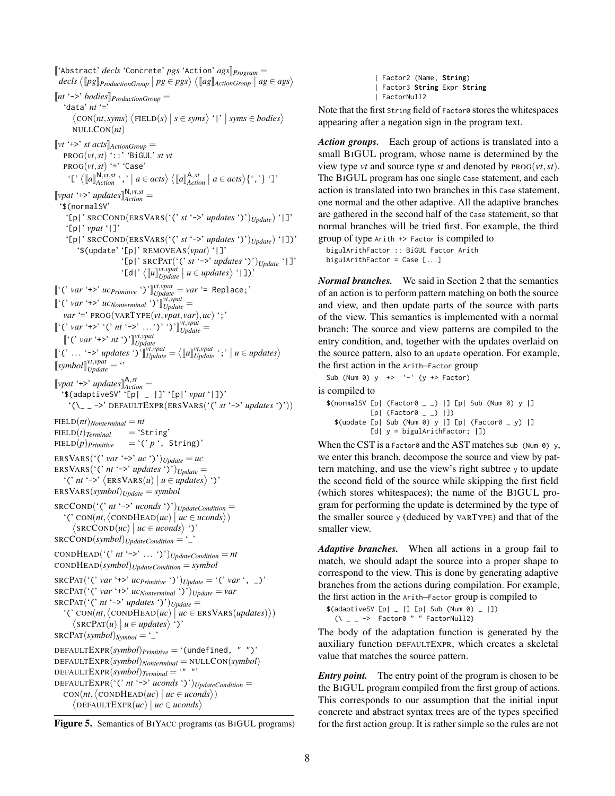[['Abstract' *decls* 'Concrete' *pgs* 'Action' *ags*]]*Program* =  $\langle \llbracket pg \rrbracket$ ProductionGroup  $\big| pg \in pgs \rangle$   $\langle \llbracket ag \rrbracket$ ActionGroup  $\big| ag \in ags \rangle$ [[*nt* '->' *bodies*]]*ProductionGroup* = 'data' *nt* '='  $\langle \text{CON}(nt, \text{syms}) \langle \text{FIELD}(s) | s \in \text{syms} \rangle' |' | \text{syms} \in \text{bodies} \rangle$ NULLCON(*nt*)  $[$ vt '+>' *st acts* $]$ <sub>ActionGroup</sub> = PROG(*vt*,*st*) '::' 'BiGUL' *st vt*  $PROG(vt, st)$  '=' 'Case' '['  $\langle [a]_{Action}^{N, vt, st}$ ',' |  $a \in acts \rangle \langle [a]_{Action}^{A, st} | a \in acts \rangle \langle '$ ']'  $[wpat' +>`updates]$ <sup>N,*vt*,*st*</sup> = '\$(normalSV' '[p|' SRCCOND(ERSVARS('(' *st* '->' *updates* ')')*Update*) '|]' '[p|' *vpat* '|]' '[p|' SRCCOND(ERSVARS('(' *st* '->' *updates* ')')*Update*) '|])' '\$(update' '[p|' REMOVEAS(*vpat*) '|]' '[p|' SRCPAT('(' *st* '->' *updates* ')')*Update* '|]' '[d|'  $\langle [u]_{Update}^{vt, vpat} | u \in updates \rangle$ '|])'  $\left[ \int_{0}^{t} \left( \int_{0}^{t} \sqrt{u} \right) \cdot u \right]_{\text{V}}^{\text{V}} \cdot \int_{\text{V}}^{t} \sqrt{u} \, du = \int_{\text{V}} \sqrt{u} \cdot \int_{\text{V}}^{t} \sqrt{u} \, du = \int_{\text{V}} \sqrt{u} \cdot \int_{\text{V}}^{t} \sqrt{u} \cdot \int_{\text{V}}^{t} \sqrt{u} \cdot \int_{\text{V}}^{t} \sqrt{u} \cdot \int_{\text{V}}^{t} \sqrt{u} \cdot \int_{\text{V}}^{t} \sqrt{u} \cdot \int_{\text{V}}^{t$  $\left[ \int_{0}^{t} \left( \int_{0}^{t} \sqrt{u} \right) \, dv \right]_{WdA}^{VdA} =$ *var* '=' PROG(VARTYPE(*vt*, *vpat*, *var*),*uc*) ';'  $\left[ \int_{0}^{t} (\int_{0}^{t} \int_{0}^{t} dt^{2})^{2} dt^{2} \right]_{Update}^{t} =$  $\begin{bmatrix} \n\cdot (\cdot \text{var } \cdot \rightarrow \text{nt } \cdot) \text{ } \n\cdot \end{bmatrix} \begin{bmatrix} \text{u}, \text{vpat} \\ \text{Update} \text{var } \cdot \end{bmatrix} = \left\langle \begin{bmatrix} u \text{ } \text{u}, \text{vpat} \\ \text{Update} \text{var } \cdot \end{bmatrix} \right\rangle \cdot \begin{bmatrix} \text{u} \text{var } \cdot \end{bmatrix} \cdot \begin{bmatrix} \text{u} \text{var } \cdot \end{bmatrix} \cdot \begin{bmatrix} \text{u} \text{var } \cdot \end{bmatrix} \cdot \begin{bmatrix} \text{u}$  $[[symbol]]^{vt, vpat}_{Update} = "$  $[\n$ [*vpat* '+>' *updates* $]$ <sup>A</sup>,*st*</sup> = '\$(adaptiveSV' '[p| \_ |]' '[p|' *vpat* '|])' '(\\_ \_ ->' DEFAULTEXPR(ERSVARS('(' *st* '->' *updates* ')'))  $FIED(nt)_{Nonterminal} = nt$  $FIED(t)$ *Terminal* = 'String' FIELD $(p)$ *Primitive* = '(' *p* ', String)' ERSVARS('(' *var* '+>' *uc* ')') $_U$ <sub>*update* = *uc*</sub> ERSVARS('('  $nt$ '->' updates')')<sub>Update</sub> = '('nt '->'  $\langle ERSVARS(u) | u \in updates \rangle$ ')' ERSVARS(*symbol*)*Update* = *symbol*  $SRCCOND('(' nt '->' uconds ')')*UpdateCondition* =$  $C \text{CON}(nt, \langle \text{CONDHEAD}(uc) | uc \in ucons \rangle)$  $\langle$ SRCCOND(*uc*) | *uc* ∈ *uconds* $\rangle$  ')'  $SRCCOND(symbol)_{UpdateCondition}$  = ' CONDHEAD( $'(n t \rightarrow \cdots)$ )*UpdateCondition* = *nt* CONDHEAD(*symbol*)*UpdateCondition* = *symbol*  $SRCPAT('(' var '+)~' uC\text{ primitive ')}')U\text{p}date = '(' var', -)'$  $SRCPATH('(' var '+> 'uc<sub>Nonterminal</sub> '))<sub>Update</sub> = var$  $SRCPart('(' nt '->' updates ')')$  $(C \text{CON}(nt, \langle \text{CONDHEAD}(uc) \mid uc \in \text{ERSVARS}(updates))$  $\langle$ SRCPAT(*u*) | *u* ∈ *updates* $\rangle$  ')'  $SRCPATH(symbol)_{Symbol} = '$ DEFAULTEXPR(*symbol*)*Primitive* = '(undefined, " ")' DEFAULTEXPR(*symbol*)*Nonterminal* = NULLCON(*symbol*) DEFAULTEXPR(*symbol*)*Terminal* = '" "' DEFAULTEXPR('('  $nt$ '->'  $uconds$ ')') $_U$  $plateCondition$  $\text{CON}(nt, \langle \text{CONDHEAD}(uc) \mid uc \in ucons \rangle)$  $\langle$ DEFAULTEXPR(*uc*) | *uc* ∈ *uconds* $\rangle$ 

<span id="page-6-0"></span>Figure 5. Semantics of BIYACC programs (as BIGUL programs)

| Factor2 (Name, **String**) | Factor3 **String** Expr **String** | FactorNull2

Note that the first String field of Factor0 stores the whitespaces appearing after a negation sign in the program text.

*Action groups.* Each group of actions is translated into a small BIGUL program, whose name is determined by the view type *vt* and source type *st* and denoted by PROG(*vt*,*st*). The BIGUL program has one single Case statement, and each action is translated into two branches in this Case statement, one normal and the other adaptive. All the adaptive branches are gathered in the second half of the Case statement, so that normal branches will be tried first. For example, the third group of type Arith +> Factor is compiled to

bigulArithFactor :: BiGUL Factor Arith bigulArithFactor = Case [...]

*Normal branches.* We said in [Section 2](#page-1-1) that the semantics of an action is to perform pattern matching on both the source and view, and then update parts of the source with parts of the view. This semantics is implemented with a normal branch: The source and view patterns are compiled to the entry condition, and, together with the updates overlaid on the source pattern, also to an update operation. For example, the first action in the Arith–Factor group

Sub (Num 0)  $y \rightarrow '-'$  (y +> Factor)

is compiled to

\$(normalSV [p| (Factor0 \_ \_) |] [p| Sub (Num 0) y |]  $[p]$  (Factor0  $\angle$   $\angle$ )  $|$ ])  $$(update [p] Sub (Num 0) y ] [p] (Factor 0 y)]$ [d| y = bigulArithFactor; |])

When the CST is a Factor0 and the AST matches Sub (Num 0)  $\gamma$ , we enter this branch, decompose the source and view by pattern matching, and use the view's right subtree y to update the second field of the source while skipping the first field (which stores whitespaces); the name of the BIGUL program for performing the update is determined by the type of the smaller source y (deduced by VARTYPE) and that of the smaller view.

*Adaptive branches.* When all actions in a group fail to match, we should adapt the source into a proper shape to correspond to the view. This is done by generating adaptive branches from the actions during compilation. For example, the first action in the Arith–Factor group is compiled to

 $$(adaptiveSV [p] _ ] [p] Sub (Num 0) _ ] )$  $(\lambda_{-} - \rightarrow$  Factor0 " " FactorNull2)

The body of the adaptation function is generated by the auxiliary function DEFAULTEXPR, which creates a skeletal value that matches the source pattern.

*Entry point.* The entry point of the program is chosen to be the BIGUL program compiled from the first group of actions. This corresponds to our assumption that the initial input concrete and abstract syntax trees are of the types specified for the first action group. It is rather simple so the rules are not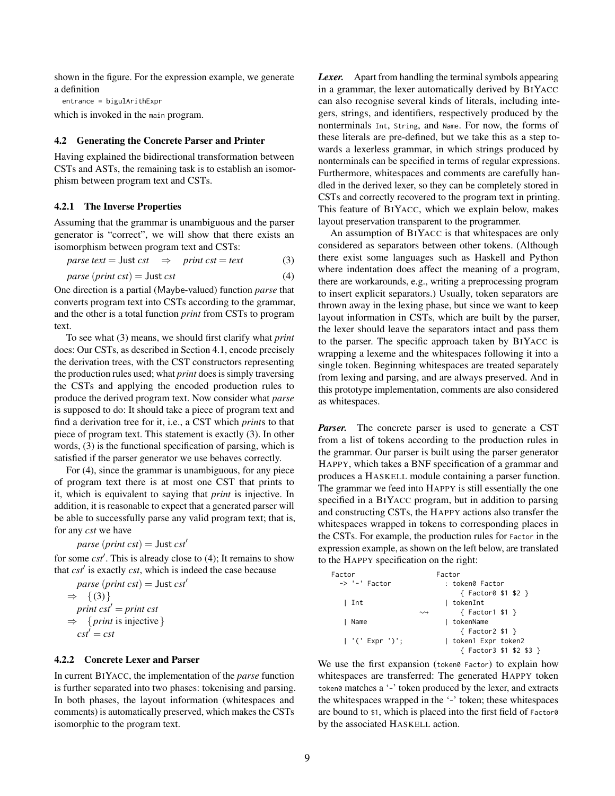shown in the figure. For the expression example, we generate a definition

entrance = bigulArithExpr

which is invoked in the main program.

#### <span id="page-7-1"></span>4.2 Generating the Concrete Parser and Printer

Having explained the bidirectional transformation between CSTs and ASTs, the remaining task is to establish an isomorphism between program text and CSTs.

#### <span id="page-7-0"></span>4.2.1 The Inverse Properties

Assuming that the grammar is unambiguous and the parser generator is "correct", we will show that there exists an isomorphism between program text and CSTs:

$$
parse text = Just cst \Rightarrow print cst = text
$$
\n
$$
parse (print cst) = Just cst
$$
\n(3)\n(4)

One direction is a partial (Maybe-valued) function *parse* that converts program text into CSTs according to the grammar, and the other is a total function *print* from CSTs to program text.

To see what [\(3\)](#page-7-2) means, we should first clarify what *print* does: Our CSTs, as described in [Section 4.1,](#page-5-3) encode precisely the derivation trees, with the CST constructors representing the production rules used; what *print* does is simply traversing the CSTs and applying the encoded production rules to produce the derived program text. Now consider what *parse* is supposed to do: It should take a piece of program text and find a derivation tree for it, i.e., a CST which *print*s to that piece of program text. This statement is exactly [\(3\)](#page-7-2). In other words, [\(3\)](#page-7-2) is the functional specification of parsing, which is satisfied if the parser generator we use behaves correctly.

For [\(4\)](#page-7-3), since the grammar is unambiguous, for any piece of program text there is at most one CST that prints to it, which is equivalent to saying that *print* is injective. In addition, it is reasonable to expect that a generated parser will be able to successfully parse any valid program text; that is, for any *cst* we have

*parse* (*print cst*) = Just  $cst'$ 

for some *cst'*. This is already close to [\(4\)](#page-7-3); It remains to show that *cst*<sup>'</sup> is exactly *cst*, which is indeed the case because

*parse* (*print cst*) = Just  $cst'$  $\Rightarrow$  {[\(3\)](#page-7-2)} *print cst'* = *print cst* ⇒ {*print* is injective}  $cst' = cst$ 

#### 4.2.2 Concrete Lexer and Parser

In current BIYACC, the implementation of the *parse* function is further separated into two phases: tokenising and parsing. In both phases, the layout information (whitespaces and comments) is automatically preserved, which makes the CSTs isomorphic to the program text.

*Lexer.* Apart from handling the terminal symbols appearing in a grammar, the lexer automatically derived by BIYACC can also recognise several kinds of literals, including integers, strings, and identifiers, respectively produced by the nonterminals Int, String, and Name. For now, the forms of these literals are pre-defined, but we take this as a step towards a lexerless grammar, in which strings produced by nonterminals can be specified in terms of regular expressions. Furthermore, whitespaces and comments are carefully handled in the derived lexer, so they can be completely stored in CSTs and correctly recovered to the program text in printing. This feature of BIYACC, which we explain below, makes layout preservation transparent to the programmer.

<span id="page-7-3"></span><span id="page-7-2"></span>An assumption of BIYACC is that whitespaces are only considered as separators between other tokens. (Although there exist some languages such as Haskell and Python where indentation does affect the meaning of a program, there are workarounds, e.g., writing a preprocessing program to insert explicit separators.) Usually, token separators are thrown away in the lexing phase, but since we want to keep layout information in CSTs, which are built by the parser, the lexer should leave the separators intact and pass them to the parser. The specific approach taken by BIYACC is wrapping a lexeme and the whitespaces following it into a single token. Beginning whitespaces are treated separately from lexing and parsing, and are always preserved. And in this prototype implementation, comments are also considered as whitespaces.

*Parser.* The concrete parser is used to generate a CST from a list of tokens according to the production rules in the grammar. Our parser is built using the parser generator HAPPY, which takes a BNF specification of a grammar and produces a HASKELL module containing a parser function. The grammar we feed into HAPPY is still essentially the one specified in a BIYACC program, but in addition to parsing and constructing CSTs, the HAPPY actions also transfer the whitespaces wrapped in tokens to corresponding places in the CSTs. For example, the production rules for Factor in the expression example, as shown on the left below, are translated to the HAPPY specification on the right:

| actor                    |                    | Factor                  |
|--------------------------|--------------------|-------------------------|
| $\rightarrow$ '-' Factor |                    | : token0 Factor         |
|                          |                    | { Factor0 \$1 \$2 }     |
| l Int                    |                    | tokenInt                |
|                          | $\rightsquigarrow$ | { Factor1 \$1 }         |
| Name                     |                    | tokenName               |
|                          |                    | { Factor2 \$1 }         |
| '(' Expr ')';            |                    | token1 Expr token2      |
|                          |                    | { Factor3 \$1 \$2 \$3 } |

We use the first expansion (token0 Factor) to explain how whitespaces are transferred: The generated HAPPY token token0 matches a '-' token produced by the lexer, and extracts the whitespaces wrapped in the '-' token; these whitespaces are bound to \$1, which is placed into the first field of Factor0 by the associated HASKELL action.

 $\overline{F}$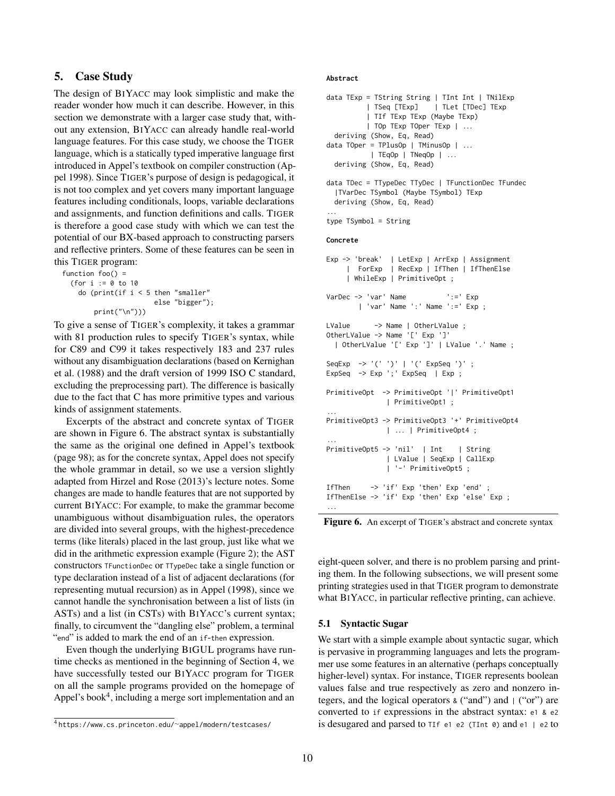# <span id="page-8-0"></span>5. Case Study

The design of BIYACC may look simplistic and make the reader wonder how much it can describe. However, in this section we demonstrate with a larger case study that, without any extension, BIYACC can already handle real-world language features. For this case study, we choose the TIGER language, which is a statically typed imperative language first introduced in Appel's textbook on compiler construction [\(Ap](#page-12-11)[pel 1998\)](#page-12-11). Since TIGER's purpose of design is pedagogical, it is not too complex and yet covers many important language features including conditionals, loops, variable declarations and assignments, and function definitions and calls. TIGER is therefore a good case study with which we can test the potential of our BX-based approach to constructing parsers and reflective printers. Some of these features can be seen in this TIGER program:

function foo() = (for i := 0 to 10 do (print(if i < 5 then "smaller" else "bigger"); print("\n")))

To give a sense of TIGER's complexity, it takes a grammar with 81 production rules to specify TIGER's syntax, while for C89 and C99 it takes respectively 183 and 237 rules without any disambiguation declarations (based on [Kernighan](#page-12-17) [et al.](#page-12-17) [\(1988\)](#page-12-17) and the draft version of 1999 ISO C standard, excluding the preprocessing part). The difference is basically due to the fact that C has more primitive types and various kinds of assignment statements.

Excerpts of the abstract and concrete syntax of TIGER are shown in [Figure 6.](#page-8-1) The abstract syntax is substantially the same as the original one defined in [Appel'](#page-12-11)s textbook (page 98); as for the concrete syntax, [Appel](#page-12-11) does not specify the whole grammar in detail, so we use a version slightly adapted from [Hirzel and Rose](#page-12-18) [\(2013\)](#page-12-18)'s lecture notes. Some changes are made to handle features that are not supported by current BIYACC: For example, to make the grammar become unambiguous without disambiguation rules, the operators are divided into several groups, with the highest-precedence terms (like literals) placed in the last group, just like what we did in the arithmetic expression example [\(Figure 2\)](#page-2-0); the AST constructors TFunctionDec or TTypeDec take a single function or type declaration instead of a list of adjacent declarations (for representing mutual recursion) as in [Appel](#page-12-11) [\(1998\)](#page-12-11), since we cannot handle the synchronisation between a list of lists (in ASTs) and a list (in CSTs) with BIYACC's current syntax; finally, to circumvent the "dangling else" problem, a terminal "end" is added to mark the end of an if-then expression.

Even though the underlying BIGUL programs have runtime checks as mentioned in the beginning of [Section 4,](#page-5-0) we have successfully tested our BIYACC program for TIGER on all the sample programs provided on the homepage of [Appel'](#page-12-11)s book<sup>[4](#page-8-2)</sup>, including a merge sort implementation and an

#### **Abstract**

```
data TExp = TString String | TInt Int | TNilExp
          | TSeq [TExp] | TLet [TDec] TExp
          | TIf TExp TExp (Maybe TExp)
          | TOp TExp TOper TExp | . . .
  deriving (Show, Eq, Read)
data TOper = TPlusOp | TMinusOp | ...
          | TEqOp | TNeqOp | . . .
  deriving (Show, Eq, Read)
data TDec = TTypeDec TTyDec | TFunctionDec TFundec
  |TVarDec TSymbol (Maybe TSymbol) TExp
  deriving (Show, Eq, Read)
. . .
type TSymbol = String
Concrete
Exp -> 'break' | LetExp | ArrExp | Assignment
     | ForExp | RecExp | IfThen | IfThenElse
     | WhileExp | PrimitiveOpt ;
VarDec -> 'var' Name ':=' Exp
       | 'var' Name ':' Name ':=' Exp ;
LValue -> Name | OtherLValue ;
OtherLValue -> Name '[' Exp ']'
  | OtherLValue '[' Exp ']' | LValue '.' Name ;
SeqExp -> '(' ')' | '(' ExpSeq ')' ;
ExpSeq -> Exp ';' ExpSeq | Exp ;
PrimitiveOpt -> PrimitiveOpt '|' PrimitiveOpt1
              | PrimitiveOpt1 ;
. . .
PrimitiveOpt3 -> PrimitiveOpt3 '+' PrimitiveOpt4
              | . . . | PrimitiveOpt4 ;
. . .
PrimitiveOpt5 -> 'nil' | Int | String
              | LValue | SeqExp | CallExp
               | '-' PrimitiveOpt5 ;
IfThen -> 'if' Exp 'then' Exp 'end' ;
IfThenElse -> 'if' Exp 'then' Exp 'else' Exp ;
. . .
```
<span id="page-8-1"></span>Figure 6. An excerpt of TIGER's abstract and concrete syntax

eight-queen solver, and there is no problem parsing and printing them. In the following subsections, we will present some printing strategies used in that TIGER program to demonstrate what BIYACC, in particular reflective printing, can achieve.

#### <span id="page-8-3"></span>5.1 Syntactic Sugar

We start with a simple example about syntactic sugar, which is pervasive in programming languages and lets the programmer use some features in an alternative (perhaps conceptually higher-level) syntax. For instance, TIGER represents boolean values false and true respectively as zero and nonzero integers, and the logical operators & ("and") and | ("or") are converted to if expressions in the abstract syntax: e1 & e2 is desugared and parsed to TIf e1 e2 (TInt 0) and e1 | e2 to

<span id="page-8-2"></span><sup>4</sup> [https://www.cs.princeton.edu/](https://www.cs.princeton.edu/~appel/modern/testcases/)∼appel/modern/testcases/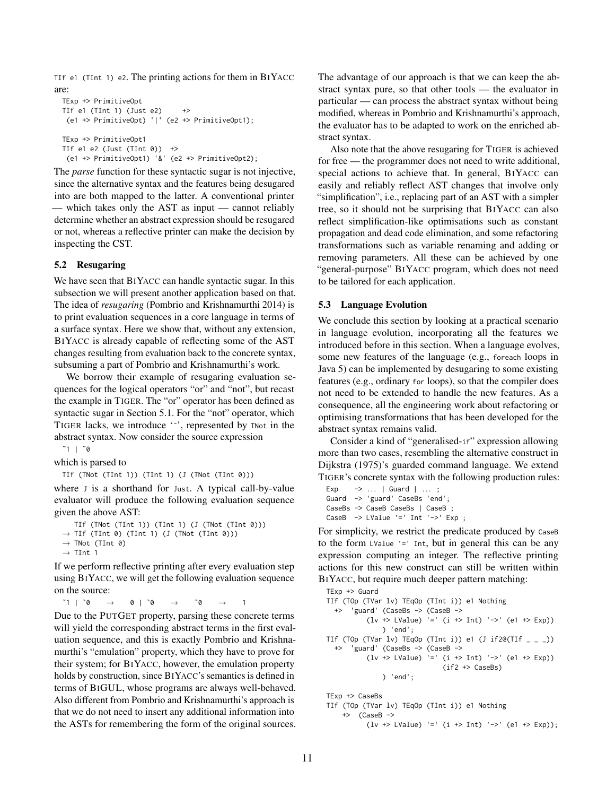TIf e1 (TInt 1) e2. The printing actions for them in BIYACC are:

```
TExp +> PrimitiveOpt
TIf e1 (TInt 1) (Just e2) +>(e1 +> PrimitiveOpt) '|' (e2 +> PrimitiveOpt1);
TExp +> PrimitiveOpt1
TIf e1 e2 (Just (TInt \theta)) +>
 (e1 +> PrimitiveOpt1) '&' (e2 +> PrimitiveOpt2);
```
The *parse* function for these syntactic sugar is not injective, since the alternative syntax and the features being desugared into are both mapped to the latter. A conventional printer — which takes only the AST as input — cannot reliably determine whether an abstract expression should be resugared or not, whereas a reflective printer can make the decision by inspecting the CST.

## 5.2 Resugaring

We have seen that BIYACC can handle syntactic sugar. In this subsection we will present another application based on that. The idea of *resugaring* [\(Pombrio and Krishnamurthi 2014\)](#page-12-12) is to print evaluation sequences in a core language in terms of a surface syntax. Here we show that, without any extension, BIYACC is already capable of reflecting some of the AST changes resulting from evaluation back to the concrete syntax, subsuming a part of [Pombrio and Krishnamurthi'](#page-12-12)s work.

We borrow their example of resugaring evaluation sequences for the logical operators "or" and "not", but recast the example in TIGER. The "or" operator has been defined as syntactic sugar in [Section 5.1.](#page-8-3) For the "not" operator, which TIGER lacks, we introduce "', represented by TNot in the abstract syntax. Now consider the source expression

 $\tilde{1}$  |  $\tilde{0}$ 

which is parsed to

TIf (TNot (TInt 1)) (TInt 1) (J (TNot (TInt 0)))

where  $\bar{J}$  is a shorthand for Just. A typical call-by-value evaluator will produce the following evaluation sequence given the above AST:

```
TIf (TNot (TInt 1)) (TInt 1) (J (TNot (TInt 0)))
\rightarrow TIf (TInt 0) (TInt 1) (J (TNot (TInt 0)))
\rightarrow TNot (TInt 0)
\rightarrow TInt 1
```
If we perform reflective printing after every evaluation step using BIYACC, we will get the following evaluation sequence on the source:

 $\tilde{1}$  |  $\tilde{0}$   $\rightarrow$  0 |  $\tilde{0}$   $\rightarrow$   $\tilde{0}$   $\rightarrow$  1

Due to the P[UT](#page-4-0)GET property, parsing these concrete terms will yield the corresponding abstract terms in the first evaluation sequence, and this is exactly [Pombrio and Krishna](#page-12-12)[murthi'](#page-12-12)s "emulation" property, which they have to prove for their system; for BIYACC, however, the emulation property holds by construction, since BIYACC's semantics is defined in terms of BIGUL, whose programs are always well-behaved. Also different from [Pombrio and Krishnamurthi'](#page-12-12)s approach is that we do not need to insert any additional information into the ASTs for remembering the form of the original sources. The advantage of our approach is that we can keep the abstract syntax pure, so that other tools — the evaluator in particular — can process the abstract syntax without being modified, whereas in [Pombrio and Krishnamurthi'](#page-12-12)s approach, the evaluator has to be adapted to work on the enriched abstract syntax.

Also note that the above resugaring for TIGER is achieved for free — the programmer does not need to write additional, special actions to achieve that. In general, BIYACC can easily and reliably reflect AST changes that involve only "simplification", i.e., replacing part of an AST with a simpler tree, so it should not be surprising that BIYACC can also reflect simplification-like optimisations such as constant propagation and dead code elimination, and some refactoring transformations such as variable renaming and adding or removing parameters. All these can be achieved by one "general-purpose" BIYACC program, which does not need to be tailored for each application.

#### 5.3 Language Evolution

We conclude this section by looking at a practical scenario in language evolution, incorporating all the features we introduced before in this section. When a language evolves, some new features of the language (e.g., foreach loops in Java 5) can be implemented by desugaring to some existing features (e.g., ordinary for loops), so that the compiler does not need to be extended to handle the new features. As a consequence, all the engineering work about refactoring or optimising transformations that has been developed for the abstract syntax remains valid.

Consider a kind of "generalised-if" expression allowing more than two cases, resembling the alternative construct in [Dijkstra](#page-12-19) [\(1975\)](#page-12-19)'s guarded command language. We extend TIGER's concrete syntax with the following production rules:

Exp -> ... | Guard | ... ; Guard -> 'guard' CaseBs 'end'; CaseBs -> CaseB CaseBs | CaseB ; CaseB  $\rightarrow$  LValue '=' Int '->' Exp ;

For simplicity, we restrict the predicate produced by CaseB to the form LValue '=' Int, but in general this can be any expression computing an integer. The reflective printing actions for this new construct can still be written within BIYACC, but require much deeper pattern matching:

```
TExp +> Guard
TIf (TOp (TVar lv) TEqOp (TInt i)) e1 Nothing
       'guard' (CaseBs -> (CaseB ->
            (lv \leftrightarrow LValue) '=' (i \leftrightarrow Int) '->' (e1 +> Exp))
                ) 'end';
TIf (TOp (TVar lv) TEqOp (TInt i)) e1 (J if2@(TIf _ _ _ _+> 'guard' (CaseBs -> (CaseB ->
            (1v \leftrightarrow LValue) '=' (i \leftrightarrow Int) '->' (e1 \leftrightarrow Exp))
                                   (if2 +> CaseBs)
                ) 'end';
TExp +> CaseBs
```

```
TIf (TOp (TVar lv) TEqOp (TInt i)) e1 Nothing
```

```
+> (CaseB ->
      (lv +> LValue) '=' (i +> Int) '->' (e1 +> Exp));
```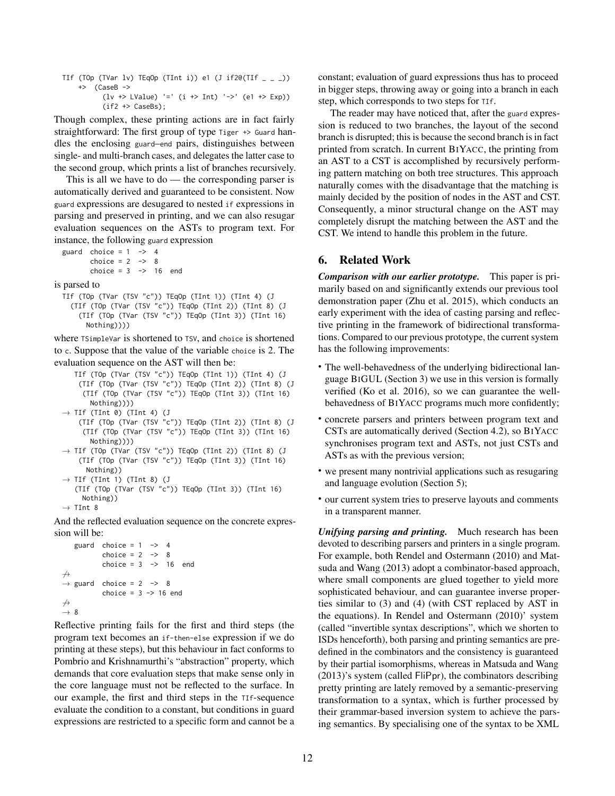TIf (TOp (TVar lv) TEqOp (TInt i)) e1 (J if2@(TIf \_ \_ \_)) +> (CaseB ->  $(lv \leftrightarrow LValue)$  '='  $(i \leftrightarrow Int)$  '->'  $(e1 \leftrightarrow Exp)$ )  $(if2 \leftrightarrow CaseBs)$ ;

Though complex, these printing actions are in fact fairly straightforward: The first group of type Tiger +> Guard handles the enclosing guard–end pairs, distinguishes between single- and multi-branch cases, and delegates the latter case to the second group, which prints a list of branches recursively.

This is all we have to do — the corresponding parser is automatically derived and guaranteed to be consistent. Now guard expressions are desugared to nested if expressions in parsing and preserved in printing, and we can also resugar evaluation sequences on the ASTs to program text. For instance, the following guard expression

```
guard choice = 1 \rightarrow 4choice = 2 \rightarrow 8choice = 3 \rightarrow 16 end
```
is parsed to

TIf (TOp (TVar (TSV "c")) TEqOp (TInt 1)) (TInt 4) (J (TIf (TOp (TVar (TSV "c")) TEqOp (TInt 2)) (TInt 8) (J (TIf (TOp (TVar (TSV "c")) TEqOp (TInt 3)) (TInt 16) Nothing))))

where TSimpleVar is shortened to TSV, and choice is shortened to c. Suppose that the value of the variable choice is 2. The evaluation sequence on the AST will then be:

- TIf (TOp (TVar (TSV "c")) TEqOp (TInt 1)) (TInt 4) (J (TIf (TOp (TVar (TSV "c")) TEqOp (TInt 2)) (TInt 8) (J (TIf (TOp (TVar (TSV "c")) TEqOp (TInt 3)) (TInt 16) Nothing))))
- $\rightarrow$  TIf (TInt 0) (TInt 4) (J (TIf (TOp (TVar (TSV "c")) TEqOp (TInt 2)) (TInt 8) (J (TIf (TOp (TVar (TSV "c")) TEqOp (TInt 3)) (TInt 16) Nothing))))
- $\rightarrow$  TIf (TOp (TVar (TSV "c")) TEqOp (TInt 2)) (TInt 8) (J (TIf (TOp (TVar (TSV "c")) TEqOp (TInt 3)) (TInt 16) Nothing))
- $\rightarrow$  TIf (TInt 1) (TInt 8) (J (TIf (TOp (TVar (TSV "c")) TEqOp (TInt 3)) (TInt 16) Nothing))  $\rightarrow$  TInt 8

And the reflected evaluation sequence on the concrete expression will be:

```
guard choice = 1 \rightarrow 4choice = 2 \rightarrow 8choice = 3 \rightarrow 16 end
\not\rightarrow\rightarrow guard choice = 2 -> 8
                choice = 3 \rightarrow 16 end
\overrightarrow{p}\rightarrow 8
```
Reflective printing fails for the first and third steps (the program text becomes an if-then-else expression if we do printing at these steps), but this behaviour in fact conforms to [Pombrio and Krishnamurthi'](#page-12-12)s "abstraction" property, which demands that core evaluation steps that make sense only in the core language must not be reflected to the surface. In our example, the first and third steps in the TIf-sequence evaluate the condition to a constant, but conditions in guard expressions are restricted to a specific form and cannot be a constant; evaluation of guard expressions thus has to proceed in bigger steps, throwing away or going into a branch in each step, which corresponds to two steps for TIf.

The reader may have noticed that, after the guard expression is reduced to two branches, the layout of the second branch is disrupted; this is because the second branch is in fact printed from scratch. In current BIYACC, the printing from an AST to a CST is accomplished by recursively performing pattern matching on both tree structures. This approach naturally comes with the disadvantage that the matching is mainly decided by the position of nodes in the AST and CST. Consequently, a minor structural change on the AST may completely disrupt the matching between the AST and the CST. We intend to handle this problem in the future.

## <span id="page-10-0"></span>6. Related Work

*Comparison with our earlier prototype.* This paper is primarily based on and significantly extends our previous tool demonstration paper [\(Zhu et al. 2015\)](#page-12-20), which conducts an early experiment with the idea of casting parsing and reflective printing in the framework of bidirectional transformations. Compared to our previous prototype, the current system has the following improvements:

- The well-behavedness of the underlying bidirectional language BIGUL [\(Section 3\)](#page-3-0) we use in this version is formally verified [\(Ko et al. 2016\)](#page-12-10), so we can guarantee the wellbehavedness of BIYACC programs much more confidently;
- concrete parsers and printers between program text and CSTs are automatically derived [\(Section 4.2\)](#page-7-1), so BIYACC synchronises program text and ASTs, not just CSTs and ASTs as with the previous version;
- we present many nontrivial applications such as resugaring and language evolution [\(Section 5\)](#page-8-0);
- our current system tries to preserve layouts and comments in a transparent manner.

*Unifying parsing and printing.* Much research has been devoted to describing parsers and printers in a single program. For example, both [Rendel and Ostermann](#page-12-2) [\(2010\)](#page-12-2) and [Mat](#page-12-4)[suda and Wang](#page-12-4) [\(2013\)](#page-12-4) adopt a combinator-based approach, where small components are glued together to yield more sophisticated behaviour, and can guarantee inverse properties similar to [\(3\)](#page-7-2) and [\(4\)](#page-7-3) (with CST replaced by AST in the equations). In [Rendel and Ostermann](#page-12-2) [\(2010\)](#page-12-2)' system (called "invertible syntax descriptions", which we shorten to ISDs henceforth), both parsing and printing semantics are predefined in the combinators and the consistency is guaranteed by their partial isomorphisms, whereas in [Matsuda and Wang](#page-12-4) [\(2013\)](#page-12-4)'s system (called FliPpr), the combinators describing pretty printing are lately removed by a semantic-preserving transformation to a syntax, which is further processed by their grammar-based inversion system to achieve the parsing semantics. By specialising one of the syntax to be XML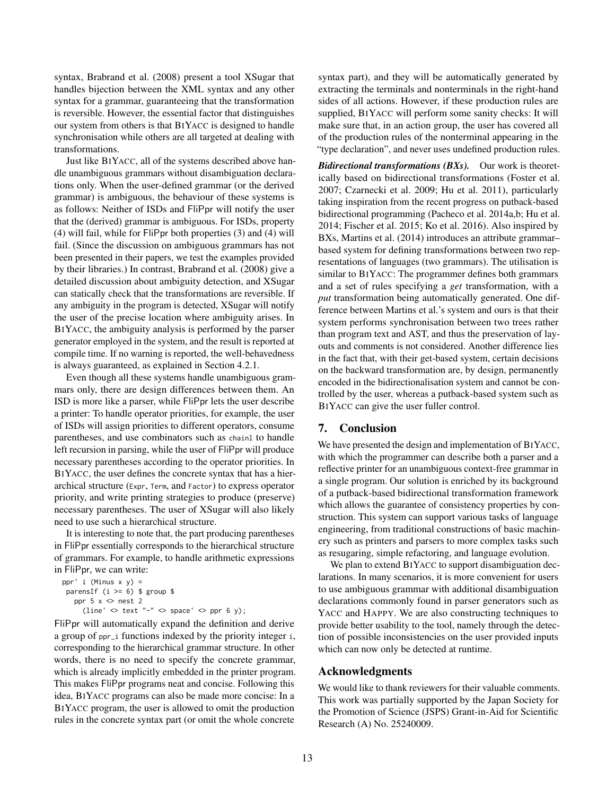syntax, [Brabrand et al.](#page-12-21) [\(2008\)](#page-12-21) present a tool XSugar that handles bijection between the XML syntax and any other syntax for a grammar, guaranteeing that the transformation is reversible. However, the essential factor that distinguishes our system from others is that BIYACC is designed to handle synchronisation while others are all targeted at dealing with transformations.

Just like BIYACC, all of the systems described above handle unambiguous grammars without disambiguation declarations only. When the user-defined grammar (or the derived grammar) is ambiguous, the behaviour of these systems is as follows: Neither of ISDs and FliPpr will notify the user that the (derived) grammar is ambiguous. For ISDs, [property](#page-7-3) [\(4\)](#page-7-3) will fail, while for FliPpr both properties [\(3\)](#page-7-2) and [\(4\)](#page-7-3) will fail. (Since the discussion on ambiguous grammars has not been presented in their papers, we test the examples provided by their libraries.) In contrast, [Brabrand et al.](#page-12-21) [\(2008\)](#page-12-21) give a detailed discussion about ambiguity detection, and XSugar can statically check that the transformations are reversible. If any ambiguity in the program is detected, XSugar will notify the user of the precise location where ambiguity arises. In BIYACC, the ambiguity analysis is performed by the parser generator employed in the system, and the result is reported at compile time. If no warning is reported, the well-behavedness is always guaranteed, as explained in [Section 4.2.1.](#page-7-0)

Even though all these systems handle unambiguous grammars only, there are design differences between them. An ISD is more like a parser, while FliPpr lets the user describe a printer: To handle operator priorities, for example, the user of ISDs will assign priorities to different operators, consume parentheses, and use combinators such as chainl to handle left recursion in parsing, while the user of FliPpr will produce necessary parentheses according to the operator priorities. In BIYACC, the user defines the concrete syntax that has a hierarchical structure (Expr, Term, and Factor) to express operator priority, and write printing strategies to produce (preserve) necessary parentheses. The user of XSugar will also likely need to use such a hierarchical structure.

It is interesting to note that, the part producing parentheses in FliPpr essentially corresponds to the hierarchical structure of grammars. For example, to handle arithmetic expressions in FliPpr, we can write:

```
ppr' i (Minus x y) =
 parensIf (i \ge 6) $ group $
    ppr 5 x \Leftrightarrow nest 2
      (line' \langle text "-" \langle space' \langle ppr 6 y);
```
FliPpr will automatically expand the definition and derive a group of ppr\_i functions indexed by the priority integer i, corresponding to the hierarchical grammar structure. In other words, there is no need to specify the concrete grammar, which is already implicitly embedded in the printer program. This makes FliPpr programs neat and concise. Following this idea, BIYACC programs can also be made more concise: In a BIYACC program, the user is allowed to omit the production rules in the concrete syntax part (or omit the whole concrete syntax part), and they will be automatically generated by extracting the terminals and nonterminals in the right-hand sides of all actions. However, if these production rules are supplied, BIYACC will perform some sanity checks: It will make sure that, in an action group, the user has covered all of the production rules of the nonterminal appearing in the "type declaration", and never uses undefined production rules.

*Bidirectional transformations (BXs).* Our work is theoretically based on bidirectional transformations [\(Foster et al.](#page-12-13) [2007;](#page-12-13) [Czarnecki et al. 2009;](#page-12-8) [Hu et al. 2011\)](#page-12-9), particularly taking inspiration from the recent progress on putback-based bidirectional programming [\(Pacheco et al. 2014a,](#page-12-22)[b;](#page-12-23) [Hu et al.](#page-12-24) [2014;](#page-12-24) [Fischer et al. 2015;](#page-12-25) [Ko et al. 2016\)](#page-12-10). Also inspired by BXs, [Martins et al.](#page-12-26) [\(2014\)](#page-12-26) introduces an attribute grammar– based system for defining transformations between two representations of languages (two grammars). The utilisation is similar to BIYACC: The programmer defines both grammars and a set of rules specifying a *get* transformation, with a *put* transformation being automatically generated. One difference between [Martins et al.'](#page-12-26)s system and ours is that their system performs synchronisation between two trees rather than program text and AST, and thus the preservation of layouts and comments is not considered. Another difference lies in the fact that, with their get-based system, certain decisions on the backward transformation are, by design, permanently encoded in the bidirectionalisation system and cannot be controlled by the user, whereas a putback-based system such as BIYACC can give the user fuller control.

## <span id="page-11-0"></span>7. Conclusion

We have presented the design and implementation of BIYACC, with which the programmer can describe both a parser and a reflective printer for an unambiguous context-free grammar in a single program. Our solution is enriched by its background of a putback-based bidirectional transformation framework which allows the guarantee of consistency properties by construction. This system can support various tasks of language engineering, from traditional constructions of basic machinery such as printers and parsers to more complex tasks such as resugaring, simple refactoring, and language evolution.

We plan to extend BIYACC to support disambiguation declarations. In many scenarios, it is more convenient for users to use ambiguous grammar with additional disambiguation declarations commonly found in parser generators such as YACC and HAPPY. We are also constructing techniques to provide better usability to the tool, namely through the detection of possible inconsistencies on the user provided inputs which can now only be detected at runtime.

## Acknowledgments

We would like to thank reviewers for their valuable comments. This work was partially supported by the Japan Society for the Promotion of Science (JSPS) Grant-in-Aid for Scientific Research (A) No. 25240009.